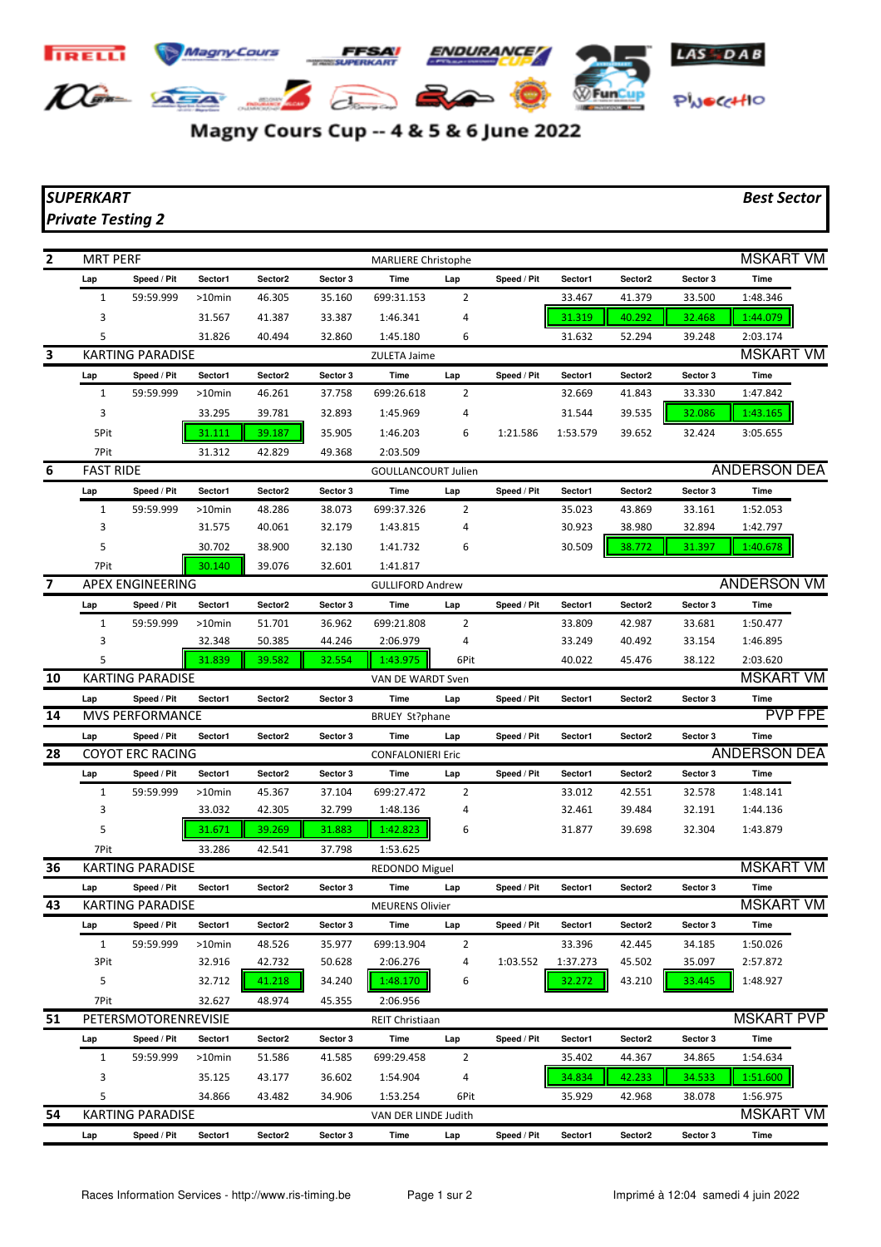## **TRELL Magny-Cours** ENDURANCE **SEP 200** DG- ASA **WFunCup** PWOCCHIO

Magny Cours Cup -- 4 & 5 & 6 June 2022

## *SUPERKART Best Sector Private Testing 2*

| $\mathbf{2}$ | <b>MRT PERF</b>         |                                        |           |         |          | <b>MARLIERE Christophe</b>   |                |             |          |                     |          | <b>MSKART VM</b>             |  |
|--------------|-------------------------|----------------------------------------|-----------|---------|----------|------------------------------|----------------|-------------|----------|---------------------|----------|------------------------------|--|
|              | Lap                     | Speed / Pit                            | Sector1   | Sector2 | Sector 3 | Time                         | Lap            | Speed / Pit | Sector1  | Sector <sub>2</sub> | Sector 3 | Time                         |  |
|              | 1                       | 59:59.999                              | $>10$ min | 46.305  | 35.160   | 699:31.153                   | 2              |             | 33.467   | 41.379              | 33.500   | 1:48.346                     |  |
|              | 3                       |                                        | 31.567    | 41.387  | 33.387   | 1:46.341                     | 4              |             | 31.319   | 40.292              | 32.468   | 1:44.079                     |  |
|              | 5                       |                                        |           |         |          |                              |                |             |          |                     |          |                              |  |
| 3            |                         |                                        | 31.826    | 40.494  | 32.860   | 1:45.180                     | 6              |             | 31.632   | 52.294              | 39.248   | 2:03.174<br><b>MSKART VM</b> |  |
|              |                         | KARTING PARADISE                       |           |         |          | ZULETA Jaime                 |                |             |          |                     |          |                              |  |
|              | Lap                     | Speed / Pit                            | Sector1   | Sector2 | Sector 3 | Time                         | Lap            | Speed / Pit | Sector1  | Sector2             | Sector 3 | Time                         |  |
|              | 1                       | 59:59.999                              | $>10$ min | 46.261  | 37.758   | 699:26.618                   | 2              |             | 32.669   | 41.843              | 33.330   | 1:47.842                     |  |
|              | 3                       |                                        | 33.295    | 39.781  | 32.893   | 1:45.969                     | 4              |             | 31.544   | 39.535              | 32.086   | 1:43.165                     |  |
|              | 5Pit                    |                                        | 31.111    | 39.187  | 35.905   | 1:46.203                     | 6              | 1:21.586    | 1:53.579 | 39.652              | 32.424   | 3:05.655                     |  |
|              | 7Pit                    |                                        | 31.312    | 42.829  | 49.368   | 2:03.509                     |                |             |          |                     |          |                              |  |
| 6            | <b>FAST RIDE</b>        |                                        |           |         |          | <b>GOULLANCOURT Julien</b>   |                |             |          |                     |          | <b>ANDERSON DEA</b>          |  |
|              | Lap                     | Speed / Pit                            | Sector1   | Sector2 | Sector 3 | Time                         | Lap            | Speed / Pit | Sector1  | Sector2             | Sector 3 | Time                         |  |
|              | 1                       | 59:59.999                              | $>10$ min | 48.286  | 38.073   | 699:37.326                   | 2              |             | 35.023   | 43.869              | 33.161   | 1:52.053                     |  |
|              | 3                       |                                        | 31.575    | 40.061  | 32.179   | 1:43.815                     | 4              |             | 30.923   | 38.980              | 32.894   | 1:42.797                     |  |
|              | 5                       |                                        | 30.702    | 38.900  | 32.130   | 1:41.732                     | 6              |             | 30.509   | 38.772              | 31.397   | 1:40.678                     |  |
|              | 7Pit                    |                                        | 30.140    | 39.076  | 32.601   | 1:41.817                     |                |             |          |                     |          |                              |  |
| 7            |                         | <b>APEX ENGINEERING</b>                |           |         |          | <b>GULLIFORD Andrew</b>      |                |             |          |                     |          | <b>ANDERSON VM</b>           |  |
|              | Lap                     | Speed / Pit                            | Sector1   | Sector2 | Sector 3 | Time                         | Lap            | Speed / Pit | Sector1  | Sector2             | Sector 3 | Time                         |  |
|              | $\mathbf{1}$            | 59:59.999                              | $>10$ min | 51.701  | 36.962   | 699:21.808                   | $\overline{2}$ |             | 33.809   | 42.987              | 33.681   | 1:50.477                     |  |
|              | 3                       |                                        | 32.348    | 50.385  | 44.246   | 2:06.979                     | 4              |             | 33.249   | 40.492              | 33.154   | 1:46.895                     |  |
|              | 5                       |                                        | 31.839    | 39.582  | 32.554   | 1:43.975                     | 6Pit           |             | 40.022   | 45.476              | 38.122   | 2:03.620                     |  |
| 10           |                         | <b>KARTING PARADISE</b>                |           |         |          | VAN DE WARDT Sven            |                |             |          |                     |          | <b>MSKART VM</b>             |  |
|              | Lap                     | Speed / Pit                            | Sector1   | Sector2 | Sector 3 | Time                         | Lap            | Speed / Pit | Sector1  | Sector2             | Sector 3 | Time                         |  |
| 14           |                         | <b>MVS PERFORMANCE</b>                 |           |         |          | <b>BRUEY St?phane</b>        |                |             |          |                     |          | <b>PVP FPE</b>               |  |
|              |                         | Speed / Pit                            | Sector1   | Sector2 | Sector 3 | Time                         | Lap            | Speed / Pit | Sector1  | Sector2             | Sector 3 | Time                         |  |
| 28           | Lap                     |                                        |           |         |          | <b>CONFALONIERI Eric</b>     |                |             |          |                     |          | <b>ANDERSON DEA</b>          |  |
|              | <b>COYOT ERC RACING</b> |                                        |           |         |          |                              |                |             |          |                     |          |                              |  |
|              | Lap                     | Speed / Pit                            | Sector1   | Sector2 | Sector 3 | Time                         | Lap            | Speed / Pit | Sector1  | Sector2             | Sector 3 | Time                         |  |
|              | 1                       | 59:59.999                              | $>10$ min | 45.367  | 37.104   | 699:27.472                   | 2              |             | 33.012   | 42.551              | 32.578   | 1:48.141                     |  |
|              | 3                       |                                        | 33.032    | 42.305  | 32.799   | 1:48.136                     | 4              |             | 32.461   | 39.484              | 32.191   | 1:44.136                     |  |
|              | 5                       |                                        | 31.671    | 39.269  | 31.883   | 1:42.823                     | 6              |             | 31.877   | 39.698              | 32.304   | 1:43.879                     |  |
|              | 7Pit                    |                                        | 33.286    | 42.541  | 37.798   | 1:53.625                     |                |             |          |                     |          |                              |  |
| 36           |                         | KARTING PARADISE                       |           |         |          | <b>REDONDO Miguel</b>        |                |             |          |                     |          | <b>MSKART VM</b>             |  |
|              | Lap                     | Speed / Pit                            | Sector1   | Sector2 | Sector 3 | Time                         | Lap            | Speed / Pit | Sector1  | Sector <sub>2</sub> | Sector 3 | Time                         |  |
| 43           |                         | KARTING PARADISE                       |           |         |          | <b>MEURENS Olivier</b>       |                |             |          |                     |          | <b>MSKART VM</b>             |  |
|              | Lap                     | Speed / Pit                            | Sector1   | Sector2 | Sector 3 | Time                         | Lap            | Speed / Pit | Sector1  | Sector2             | Sector 3 | Time                         |  |
|              | $\mathbf{1}$            | 59:59.999                              | $>10$ min | 48.526  | 35.977   | 699:13.904                   | $\overline{2}$ |             | 33.396   | 42.445              | 34.185   | 1:50.026                     |  |
|              | 3Pit                    |                                        | 32.916    | 42.732  | 50.628   | 2:06.276                     | 4              | 1:03.552    | 1:37.273 | 45.502              | 35.097   | 2:57.872                     |  |
|              | 5                       |                                        | 32.712    | 41.218  | 34.240   | 1:48.170                     | 6              |             | 32.272   | 43.210              | 33.445   | 1:48.927                     |  |
|              | 7Pit                    |                                        | 32.627    | 48.974  | 45.355   | 2:06.956                     |                |             |          |                     |          |                              |  |
| 51           |                         | PETERSMOTORENREVISIE                   |           |         |          | <b>REIT Christiaan</b>       |                |             |          |                     |          | <b>MSKART PVP</b>            |  |
|              | Lap                     | Speed / Pit                            | Sector1   | Sector2 | Sector 3 | Time                         | Lap            | Speed / Pit | Sector1  | Sector2             | Sector 3 | Time                         |  |
|              | $\mathbf{1}$            | 59:59.999                              | $>10$ min | 51.586  | 41.585   | 699:29.458                   | $\overline{2}$ |             | 35.402   | 44.367              | 34.865   | 1:54.634                     |  |
|              |                         |                                        | 35.125    | 43.177  | 36.602   | 1:54.904                     | 4              |             | 34.834   | 42.233              | 34.533   | 1:51.600                     |  |
|              | 3                       |                                        |           |         |          |                              |                |             |          |                     |          |                              |  |
|              | 5                       |                                        |           |         |          |                              | 6Pit           |             |          |                     |          |                              |  |
| 54           |                         |                                        | 34.866    | 43.482  | 34.906   | 1:53.254                     |                |             | 35.929   | 42.968              | 38.078   | 1:56.975                     |  |
|              | Lap                     | <b>KARTING PARADISE</b><br>Speed / Pit | Sector1   | Sector2 | Sector 3 | VAN DER LINDE Judith<br>Time | Lap            | Speed / Pit | Sector1  | Sector2             | Sector 3 | <b>MSKART VM</b><br>Time     |  |